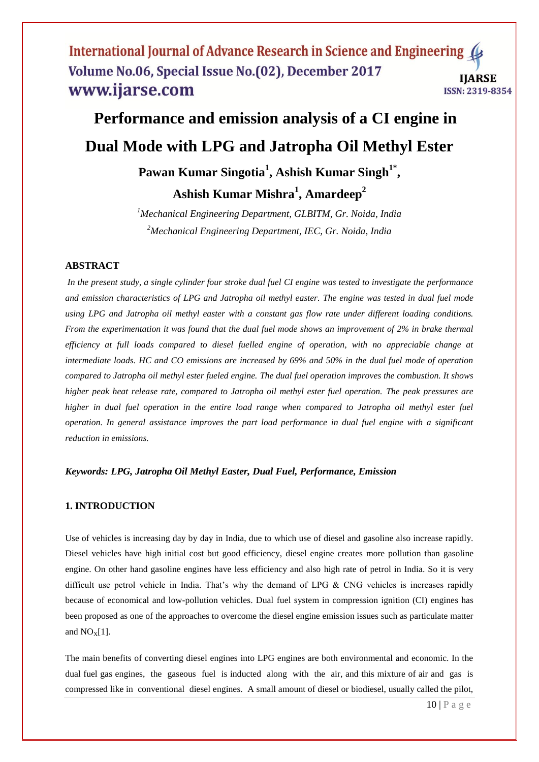# **Performance and emission analysis of a CI engine in Dual Mode with LPG and Jatropha Oil Methyl Ester Pawan Kumar Singotia<sup>1</sup> , Ashish Kumar Singh1\* ,**

**Ashish Kumar Mishra<sup>1</sup> , Amardeep<sup>2</sup>**

*<sup>1</sup>Mechanical Engineering Department, GLBITM, Gr. Noida, India <sup>2</sup>Mechanical Engineering Department, IEC, Gr. Noida, India*

# **ABSTRACT**

*In the present study, a single cylinder four stroke dual fuel CI engine was tested to investigate the performance and emission characteristics of LPG and Jatropha oil methyl easter. The engine was tested in dual fuel mode using LPG and Jatropha oil methyl easter with a constant gas flow rate under different loading conditions. From the experimentation it was found that the dual fuel mode shows an improvement of 2% in brake thermal efficiency at full loads compared to diesel fuelled engine of operation, with no appreciable change at intermediate loads. HC and CO emissions are increased by 69% and 50% in the dual fuel mode of operation compared to Jatropha oil methyl ester fueled engine. The dual fuel operation improves the combustion. It shows higher peak heat release rate, compared to Jatropha oil methyl ester fuel operation. The peak pressures are higher in dual fuel operation in the entire load range when compared to Jatropha oil methyl ester fuel operation. In general assistance improves the part load performance in dual fuel engine with a significant reduction in emissions.*

## *Keywords: LPG, Jatropha Oil Methyl Easter, Dual Fuel, Performance, Emission*

## **1. INTRODUCTION**

Use of vehicles is increasing day by day in India, due to which use of diesel and gasoline also increase rapidly. Diesel vehicles have high initial cost but good efficiency, diesel engine creates more pollution than gasoline engine. On other hand gasoline engines have less efficiency and also high rate of petrol in India. So it is very difficult use petrol vehicle in India. That's why the demand of LPG & CNG vehicles is increases rapidly because of economical and low-pollution vehicles. Dual fuel system in compression ignition (CI) engines has been proposed as one of the approaches to overcome the diesel engine emission issues such as particulate matter and  $NO<sub>X</sub>[1]$ .

The main benefits of converting diesel engines into LPG engines are both environmental and economic. In the dual fuel gas engines, the gaseous fuel is inducted along with the air, and this mixture of air and gas is compressed like in conventional diesel engines. A small amount of diesel or biodiesel, usually called the pilot,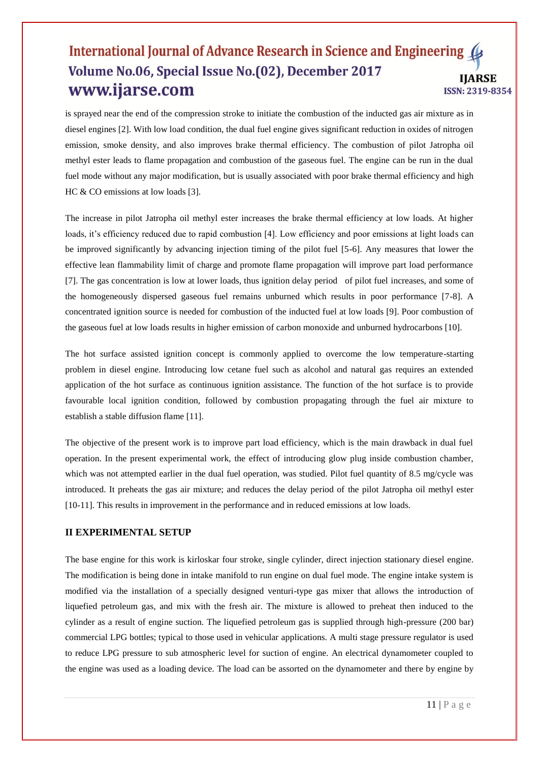is sprayed near the end of the compression stroke to initiate the combustion of the inducted gas air mixture as in diesel engines [2]. With low load condition, the dual fuel engine gives significant reduction in oxides of nitrogen emission, smoke density, and also improves brake thermal efficiency. The combustion of pilot Jatropha oil methyl ester leads to flame propagation and combustion of the gaseous fuel. The engine can be run in the dual fuel mode without any major modification, but is usually associated with poor brake thermal efficiency and high HC & CO emissions at low loads [3].

The increase in pilot Jatropha oil methyl ester increases the brake thermal efficiency at low loads. At higher loads, it's efficiency reduced due to rapid combustion [4]. Low efficiency and poor emissions at light loads can be improved significantly by advancing injection timing of the pilot fuel [5-6]. Any measures that lower the effective lean flammability limit of charge and promote flame propagation will improve part load performance [7]. The gas concentration is low at lower loads, thus ignition delay period of pilot fuel increases, and some of the homogeneously dispersed gaseous fuel remains unburned which results in poor performance [7-8]. A concentrated ignition source is needed for combustion of the inducted fuel at low loads [9]. Poor combustion of the gaseous fuel at low loads results in higher emission of carbon monoxide and unburned hydrocarbons [10].

The hot surface assisted ignition concept is commonly applied to overcome the low temperature-starting problem in diesel engine. Introducing low cetane fuel such as alcohol and natural gas requires an extended application of the hot surface as continuous ignition assistance. The function of the hot surface is to provide favourable local ignition condition, followed by combustion propagating through the fuel air mixture to establish a stable diffusion flame [11].

The objective of the present work is to improve part load efficiency, which is the main drawback in dual fuel operation. In the present experimental work, the effect of introducing glow plug inside combustion chamber, which was not attempted earlier in the dual fuel operation, was studied. Pilot fuel quantity of 8.5 mg/cycle was introduced. It preheats the gas air mixture; and reduces the delay period of the pilot Jatropha oil methyl ester [10-11]. This results in improvement in the performance and in reduced emissions at low loads.

# **II EXPERIMENTAL SETUP**

The base engine for this work is kirloskar four stroke, single cylinder, direct injection stationary diesel engine. The modification is being done in intake manifold to run engine on dual fuel mode. The engine intake system is modified via the installation of a specially designed venturi-type gas mixer that allows the introduction of liquefied petroleum gas, and mix with the fresh air. The mixture is allowed to preheat then induced to the cylinder as a result of engine suction. The liquefied petroleum gas is supplied through high-pressure (200 bar) commercial LPG bottles; typical to those used in vehicular applications. A multi stage pressure regulator is used to reduce LPG pressure to sub atmospheric level for suction of engine. An electrical dynamometer coupled to the engine was used as a loading device. The load can be assorted on the dynamometer and there by engine by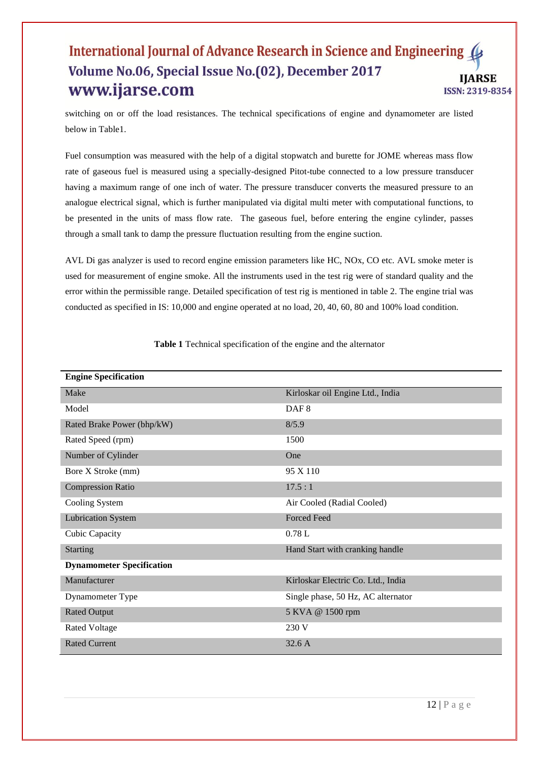switching on or off the load resistances. The technical specifications of engine and dynamometer are listed below in Table1.

Fuel consumption was measured with the help of a digital stopwatch and burette for JOME whereas mass flow rate of gaseous fuel is measured using a specially-designed Pitot-tube connected to a low pressure transducer having a maximum range of one inch of water. The pressure transducer converts the measured pressure to an analogue electrical signal, which is further manipulated via digital multi meter with computational functions, to be presented in the units of mass flow rate. The gaseous fuel, before entering the engine cylinder, passes through a small tank to damp the pressure fluctuation resulting from the engine suction.

AVL Di gas analyzer is used to record engine emission parameters like HC, NOx, CO etc. AVL smoke meter is used for measurement of engine smoke. All the instruments used in the test rig were of standard quality and the error within the permissible range. Detailed specification of test rig is mentioned in table 2. The engine trial was conducted as specified in IS: 10,000 and engine operated at no load, 20, 40, 60, 80 and 100% load condition.

| <b>Engine Specification</b>      |                                    |  |  |  |  |
|----------------------------------|------------------------------------|--|--|--|--|
| Make                             | Kirloskar oil Engine Ltd., India   |  |  |  |  |
| Model                            | DAF <sub>8</sub>                   |  |  |  |  |
| Rated Brake Power (bhp/kW)       | 8/5.9                              |  |  |  |  |
| Rated Speed (rpm)                | 1500                               |  |  |  |  |
| Number of Cylinder               | One                                |  |  |  |  |
| Bore X Stroke (mm)               | 95 X 110                           |  |  |  |  |
| <b>Compression Ratio</b>         | 17.5:1                             |  |  |  |  |
| Cooling System                   | Air Cooled (Radial Cooled)         |  |  |  |  |
| <b>Lubrication System</b>        | <b>Forced Feed</b>                 |  |  |  |  |
| Cubic Capacity                   | 0.78L                              |  |  |  |  |
| <b>Starting</b>                  | Hand Start with cranking handle    |  |  |  |  |
| <b>Dynamometer Specification</b> |                                    |  |  |  |  |
| Manufacturer                     | Kirloskar Electric Co. Ltd., India |  |  |  |  |
| Dynamometer Type                 | Single phase, 50 Hz, AC alternator |  |  |  |  |
| <b>Rated Output</b>              | 5 KVA @ 1500 rpm                   |  |  |  |  |
| <b>Rated Voltage</b>             | 230 V                              |  |  |  |  |
| <b>Rated Current</b>             | 32.6A                              |  |  |  |  |

**Table 1** Technical specification of the engine and the alternator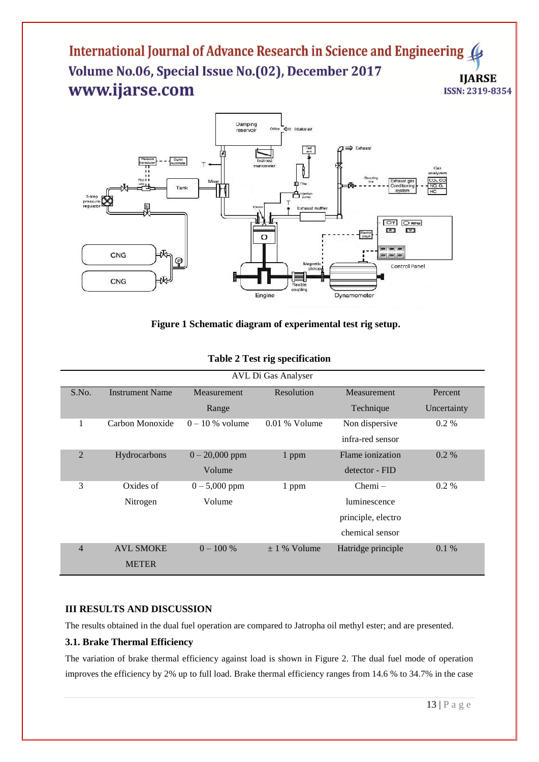

## **Figure 1 Schematic diagram of experimental test rig setup.**

| AVL Di Gas Analyser |                        |                   |                  |                    |             |  |
|---------------------|------------------------|-------------------|------------------|--------------------|-------------|--|
| S.No.               | <b>Instrument Name</b> | Measurement       | Resolution       | Measurement        | Percent     |  |
|                     |                        | Range             |                  | Technique          | Uncertainty |  |
| 1                   | Carbon Monoxide        | $0 - 10$ % volume | $0.01\%$ Volume  | Non dispersive     | $0.2\%$     |  |
|                     |                        |                   |                  | infra-red sensor   |             |  |
| $\overline{2}$      | Hydrocarbons           | $0 - 20,000$ ppm  | 1 ppm            | Flame ionization   | $0.2\%$     |  |
|                     |                        | Volume            |                  | detector - FID     |             |  |
| 3                   | Oxides of              | $0 - 5,000$ ppm   | 1 ppm            | $Chemi -$          | $0.2\%$     |  |
|                     | Nitrogen               | Volume            |                  | luminescence       |             |  |
|                     |                        |                   |                  | principle, electro |             |  |
|                     |                        |                   |                  | chemical sensor    |             |  |
| $\overline{4}$      | <b>AVL SMOKE</b>       | $0 - 100 %$       | $\pm$ 1 % Volume | Hatridge principle | 0.1%        |  |
|                     | <b>METER</b>           |                   |                  |                    |             |  |

#### **Table 2 Test rig specification**

## **III RESULTS AND DISCUSSION**

The results obtained in the dual fuel operation are compared to Jatropha oil methyl ester; and are presented.

#### **3.1. Brake Thermal Efficiency**

The variation of brake thermal efficiency against load is shown in Figure 2. The dual fuel mode of operation improves the efficiency by 2% up to full load. Brake thermal efficiency ranges from 14.6 % to 34.7% in the case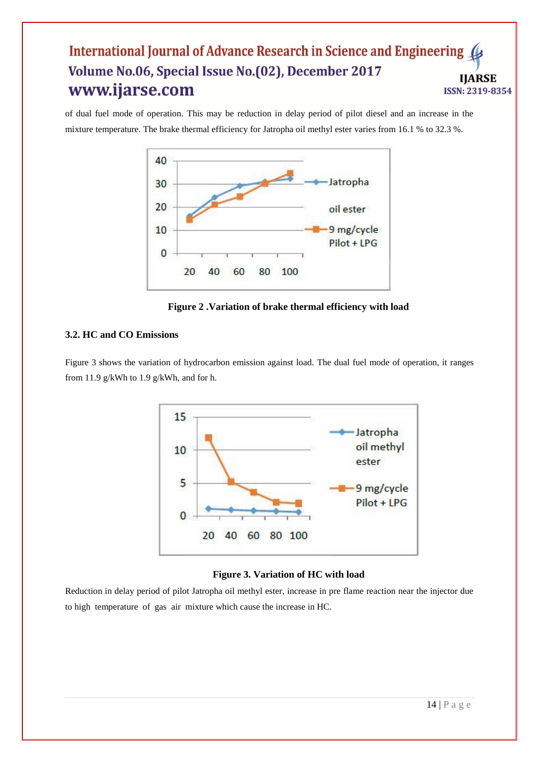of dual fuel mode of operation. This may be reduction in delay period of pilot diesel and an increase in the mixture temperature. The brake thermal efficiency for Jatropha oil methyl ester varies from 16.1 % to 32.3 %.



**Figure 2 .Variation of brake thermal efficiency with load**

## **3.2. HC and CO Emissions**

Figure 3 shows the variation of hydrocarbon emission against load. The dual fuel mode of operation, it ranges from 11.9 g/kWh to 1.9 g/kWh, and for h.



## **Figure 3. Variation of HC with load**

Reduction in delay period of pilot Jatropha oil methyl ester, increase in pre flame reaction near the injector due to high temperature of gas air mixture which cause the increase in HC.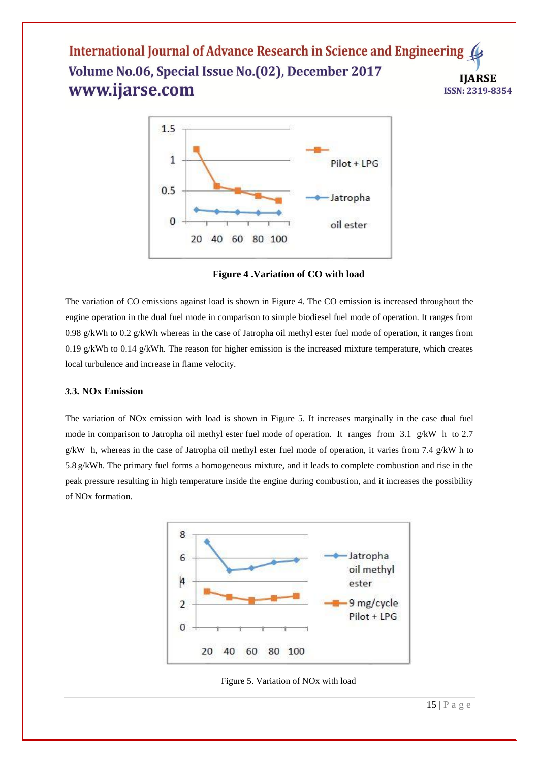

**Figure 4 .Variation of CO with load**

The variation of CO emissions against load is shown in Figure 4. The CO emission is increased throughout the engine operation in the dual fuel mode in comparison to simple biodiesel fuel mode of operation. It ranges from 0.98 g/kWh to 0.2 g/kWh whereas in the case of Jatropha oil methyl ester fuel mode of operation, it ranges from 0.19 g/kWh to 0.14 g/kWh. The reason for higher emission is the increased mixture temperature, which creates local turbulence and increase in flame velocity.

#### *3.***3. NOx Emission**

The variation of NOx emission with load is shown in Figure 5. It increases marginally in the case dual fuel mode in comparison to Jatropha oil methyl ester fuel mode of operation. It ranges from 3.1 g/kW h to 2.7 g/kW h, whereas in the case of Jatropha oil methyl ester fuel mode of operation, it varies from 7.4 g/kW h to 5.8 g/kWh. The primary fuel forms a homogeneous mixture, and it leads to complete combustion and rise in the peak pressure resulting in high temperature inside the engine during combustion, and it increases the possibility of NOx formation.



Figure 5. Variation of NOx with load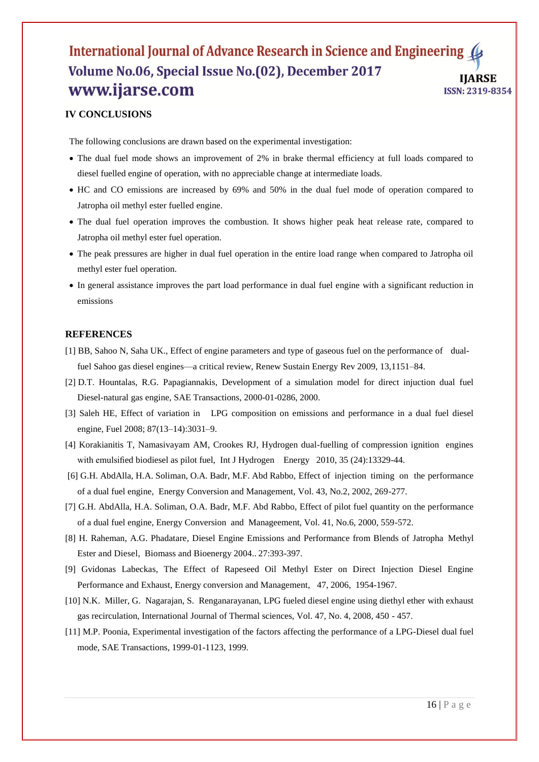# **IV CONCLUSIONS**

The following conclusions are drawn based on the experimental investigation:

- The dual fuel mode shows an improvement of 2% in brake thermal efficiency at full loads compared to diesel fuelled engine of operation, with no appreciable change at intermediate loads.
- HC and CO emissions are increased by 69% and 50% in the dual fuel mode of operation compared to Jatropha oil methyl ester fuelled engine.
- The dual fuel operation improves the combustion. It shows higher peak heat release rate, compared to Jatropha oil methyl ester fuel operation.
- The peak pressures are higher in dual fuel operation in the entire load range when compared to Jatropha oil methyl ester fuel operation.
- In general assistance improves the part load performance in dual fuel engine with a significant reduction in emissions

#### **REFERENCES**

- [1] BB, Sahoo N, Saha UK., Effect of engine parameters and type of gaseous fuel on the performance of dualfuel Sahoo gas diesel engines—a critical review, Renew Sustain Energy Rev 2009, 13,1151–84.
- [2] D.T. Hountalas, R.G. Papagiannakis, Development of a simulation model for direct injuction dual fuel Diesel-natural gas engine, SAE Transactions, 2000-01-0286, 2000.
- [3] Saleh HE, Effect of variation in LPG composition on emissions and performance in a dual fuel diesel engine, Fuel 2008; 87(13–14):3031–9.
- [4] Korakianitis T, Namasivayam AM, Crookes RJ, Hydrogen dual-fuelling of compression ignition engines with emulsified biodiesel as pilot fuel, Int J Hydrogen Energy 2010, 35 (24):13329-44.
- [6] G.H. AbdAlla, H.A. Soliman, O.A. Badr, M.F. Abd Rabbo, Effect of injection timing on the performance of a dual fuel engine, Energy Conversion and Management, Vol. 43, No.2, 2002, 269-277.
- [7] G.H. AbdAlla, H.A. Soliman, O.A. Badr, M.F. Abd Rabbo, Effect of pilot fuel quantity on the performance of a dual fuel engine, Energy Conversion and Manageement, Vol. 41, No.6, 2000, 559-572.
- [8] H. Raheman, A.G. Phadatare, Diesel Engine Emissions and Performance from Blends of Jatropha Methyl Ester and Diesel, Biomass and Bioenergy 2004.. 27:393-397.
- [9] Gvidonas Labeckas, The Effect of Rapeseed Oil Methyl Ester on Direct Injection Diesel Engine Performance and Exhaust, Energy conversion and Management, 47, 2006, 1954-1967.
- [10] N.K. Miller, G. Nagarajan, S. Renganarayanan, LPG fueled diesel engine using diethyl ether with exhaust gas recirculation, International Journal of Thermal sciences, Vol. 47, No. 4, 2008, 450 - 457.
- [11] M.P. Poonia, Experimental investigation of the factors affecting the performance of a LPG-Diesel dual fuel mode, SAE Transactions, 1999-01-1123, 1999.